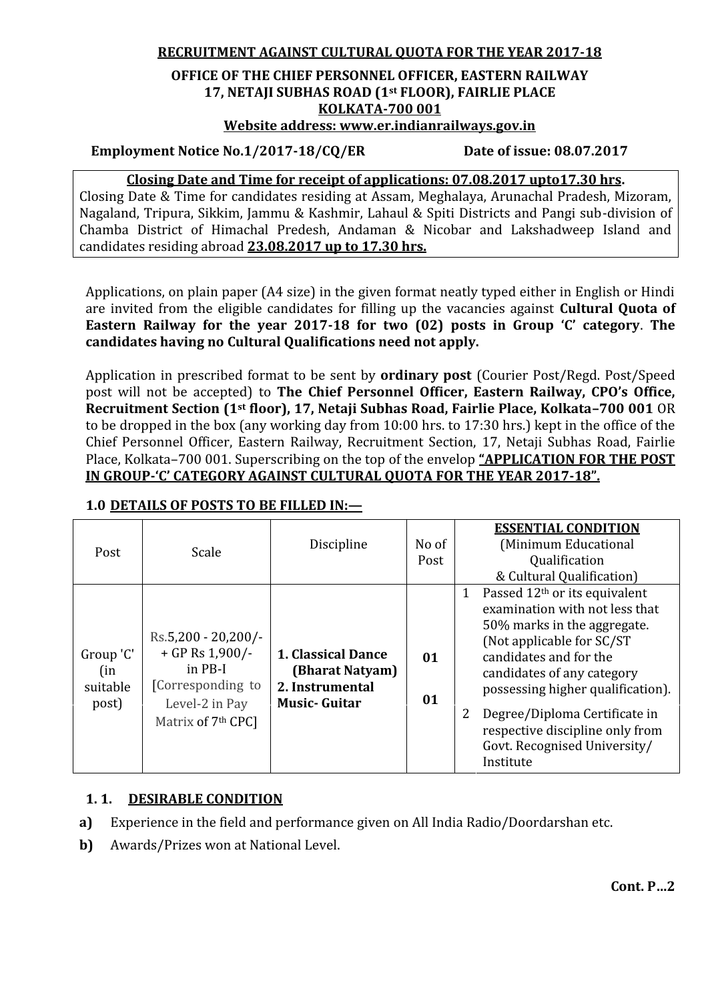**RECRUITMENT AGAINST CULTURAL QUOTA FOR THE YEAR 2017-18**

# **OFFICE OF THE CHIEF PERSONNEL OFFICER, EASTERN RAILWAY 17, NETAJI SUBHAS ROAD (1st FLOOR), FAIRLIE PLACE KOLKATA-700 001**

**Website address: www.er.indianrailways.gov.in**

## **Employment Notice No.1/2017-18/CQ/ER Date of issue: 08.07.2017**

#### **Closing Date and Time for receipt of applications: 07.08.2017 upto17.30 hrs.**

Closing Date & Time for candidates residing at Assam, Meghalaya, Arunachal Pradesh, Mizoram, Nagaland, Tripura, Sikkim, Jammu & Kashmir, Lahaul & Spiti Districts and Pangi sub-division of Chamba District of Himachal Predesh, Andaman & Nicobar and Lakshadweep Island and candidates residing abroad **23.08.2017 up to 17.30 hrs.**

Applications, on plain paper (A4 size) in the given format neatly typed either in English or Hindi are invited from the eligible candidates for filling up the vacancies against **Cultural Quota of Eastern Railway for the year 2017-18 for two (02) posts in Group 'C' category**. **The candidates having no Cultural Qualifications need not apply.**

Application in prescribed format to be sent by **ordinary post** (Courier Post/Regd. Post/Speed post will not be accepted) to **The Chief Personnel Officer, Eastern Railway, CPO's Office, Recruitment Section (1st floor), 17, Netaji Subhas Road, Fairlie Place, Kolkata–700 001** OR to be dropped in the box (any working day from 10:00 hrs. to 17:30 hrs.) kept in the office of the Chief Personnel Officer, Eastern Railway, Recruitment Section, 17, Netaji Subhas Road, Fairlie Place, Kolkata–700 001. Superscribing on the top of the envelop **"APPLICATION FOR THE POST IN GROUP-'C' CATEGORY AGAINST CULTURAL QUOTA FOR THE YEAR 2017-18".**

| Post                                  | Scale                                                                                                                            | Discipline                                                                      | No of<br>Post | <b>ESSENTIAL CONDITION</b><br>(Minimum Educational<br>Qualification<br>& Cultural Qualification)                                                                                                                                                                                                                                                                 |
|---------------------------------------|----------------------------------------------------------------------------------------------------------------------------------|---------------------------------------------------------------------------------|---------------|------------------------------------------------------------------------------------------------------------------------------------------------------------------------------------------------------------------------------------------------------------------------------------------------------------------------------------------------------------------|
| Group 'C'<br>(in<br>suitable<br>post) | $Rs.5,200 - 20,200/$ -<br>$+$ GP Rs 1,900/-<br>in PB-I<br>[Corresponding to]<br>Level-2 in Pay<br>Matrix of 7 <sup>th</sup> CPC] | 1. Classical Dance<br>(Bharat Natyam)<br>2. Instrumental<br><b>Music-Guitar</b> | 01<br>01      | Passed 12 <sup>th</sup> or its equivalent<br>1<br>examination with not less that<br>50% marks in the aggregate.<br>(Not applicable for SC/ST)<br>candidates and for the<br>candidates of any category<br>possessing higher qualification).<br>Degree/Diploma Certificate in<br>2<br>respective discipline only from<br>Govt. Recognised University/<br>Institute |

#### **1.0 DETAILS OF POSTS TO BE FILLED IN:—**

#### **1. 1. DESIRABLE CONDITION**

**a)** Experience in the field and performance given on All India Radio/Doordarshan etc.

**b)** Awards/Prizes won at National Level.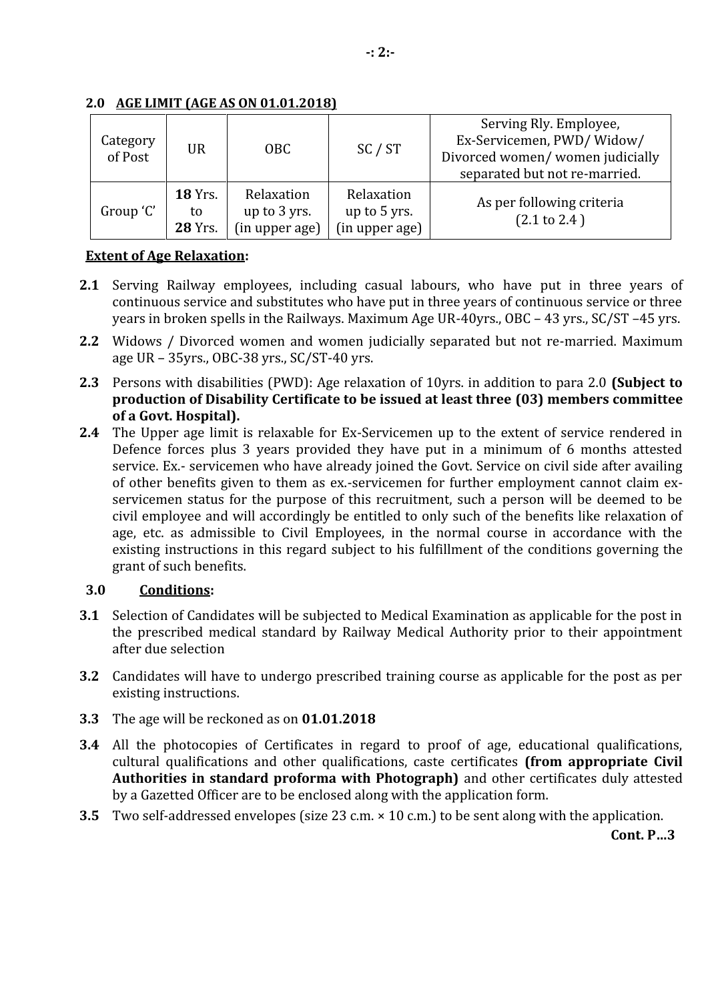| Category<br>of Post | UR                                     | OBC                                          | SC / ST                                      | Serving Rly. Employee,<br>Ex-Servicemen, PWD/Widow/<br>Divorced women/women judicially<br>separated but not re-married. |
|---------------------|----------------------------------------|----------------------------------------------|----------------------------------------------|-------------------------------------------------------------------------------------------------------------------------|
| Group 'C'           | <b>18 Yrs.</b><br>to<br><b>28 Yrs.</b> | Relaxation<br>up to 3 yrs.<br>(in upper age) | Relaxation<br>up to 5 yrs.<br>(in upper age) | As per following criteria<br>$(2.1 \text{ to } 2.4)$                                                                    |

## **2.0 AGE LIMIT (AGE AS ON 01.01.2018)**

## **Extent of Age Relaxation:**

- **2.1** Serving Railway employees, including casual labours, who have put in three years of continuous service and substitutes who have put in three years of continuous service or three years in broken spells in the Railways. Maximum Age UR-40yrs., OBC – 43 yrs., SC/ST –45 yrs.
- **2.2** Widows / Divorced women and women judicially separated but not re-married. Maximum age UR – 35yrs., OBC-38 yrs., SC/ST-40 yrs.
- **2.3** Persons with disabilities (PWD): Age relaxation of 10yrs. in addition to para 2.0 **(Subject to production of Disability Certificate to be issued at least three (03) members committee of a Govt. Hospital).**
- **2.4** The Upper age limit is relaxable for Ex-Servicemen up to the extent of service rendered in Defence forces plus 3 years provided they have put in a minimum of 6 months attested service. Ex.- servicemen who have already joined the Govt. Service on civil side after availing of other benefits given to them as ex.-servicemen for further employment cannot claim ex servicemen status for the purpose of this recruitment, such a person will be deemed to be civil employee and will accordingly be entitled to only such of the benefits like relaxation of age, etc. as admissible to Civil Employees, in the normal course in accordance with the existing instructions in this regard subject to his fulfillment of the conditions governing the grant of such benefits.

## **3.0 Conditions:**

- **3.1** Selection of Candidates will be subjected to Medical Examination as applicable for the post in the prescribed medical standard by Railway Medical Authority prior to their appointment after due selection
- **3.2** Candidates will have to undergo prescribed training course as applicable for the post as per existing instructions.
- **3.3** The age will be reckoned as on **01.01.2018**
- **3.4** All the photocopies of Certificates in regard to proof of age, educational qualifications, cultural qualifications and other qualifications, caste certificates **(from appropriate Civil Authorities in standard proforma with Photograph)** and other certificates duly attested by a Gazetted Officer are to be enclosed along with the application form.
- **3.5** Two self-addressed envelopes (size 23 c.m. × 10 c.m.) to be sent along with the application.

**Cont. P…3**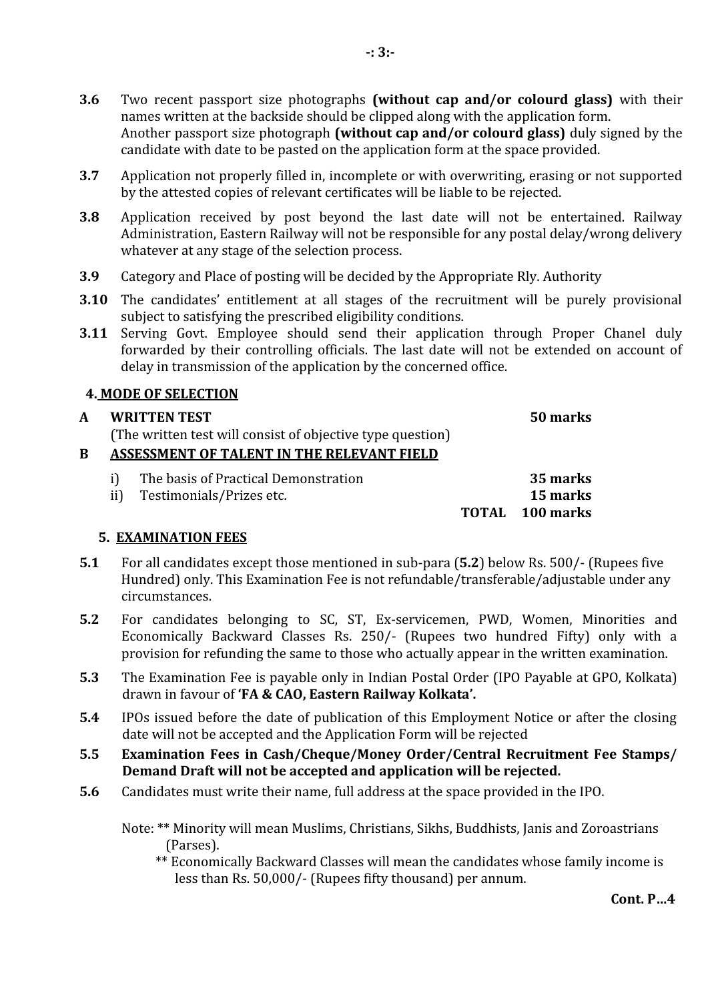- **3.6** Two recent passport size photographs **(without cap and/or colourd glass)** with their names written at the backside should be clipped along with the application form. Another passport size photograph **(without cap and/or colourd glass)** duly signed by the candidate with date to be pasted on the application form at the space provided.
- **3.7** Application not properly filled in, incomplete or with overwriting, erasing or not supported by the attested copies of relevant certificates will be liable to be rejected.
- **3.8** Application received by post beyond the last date will not be entertained. Railway Administration, Eastern Railway will not be responsible for any postal delay/wrong delivery whatever at any stage of the selection process.
- **3.9** Category and Place of posting will be decided by the Appropriate Rly. Authority
- **3.10** The candidates' entitlement at all stages of the recruitment will be purely provisional subject to satisfying the prescribed eligibility conditions.
- **3.11** Serving Govt. Employee should send their application through Proper Chanel duly forwarded by their controlling officials. The last date will not be extended on account of delay in transmission of the application by the concerned office.

## **4. MODE OF SELECTION**

## **A WRITTEN TEST**

(The written test will consist of objective type question)

# **B ASSESSMENT OF TALENT IN THE RELEVANT FIELD**

i) The basis of Practical Demonstration **35 marks**<br>ii) Testimonials/Prizes etc. **15 marks** Testimonials/Prizes etc. **TOTAL 100 marks**

# **5. EXAMINATION FEES**

- **5.1** For all candidates except those mentioned in sub-para (**5.2**) below Rs. 500/- (Rupees five Hundred) only. This Examination Fee is not refundable/transferable/adjustable under any circumstances.
- **5.2** For candidates belonging to SC, ST, Ex-servicemen, PWD, Women, Minorities and Economically Backward Classes Rs. 250/- (Rupees two hundred Fifty) only with a provision for refunding the same to those who actually appear in the written examination.
- **5.3** The Examination Fee is payable only in Indian Postal Order (IPO Payable at GPO, Kolkata) drawn in favour of **'FA & CAO, Eastern Railway Kolkata'.**
- **5.4** IPOs issued before the date of publication of this Employment Notice or after the closing date will not be accepted and the Application Form will be rejected
- **5.5 Examination Fees in Cash/Cheque/Money Order/Central Recruitment Fee Stamps/ Demand Draft will not be accepted and application will be rejected.**
- **5.6** Candidates must write their name, full address at the space provided in the IPO.

Note: \*\* Minority will mean Muslims, Christians, Sikhs, Buddhists, Janis and Zoroastrians (Parses).

\*\* Economically Backward Classes will mean the candidates whose family income is less than Rs. 50,000/- (Rupees fifty thousand) per annum.

**50 marks**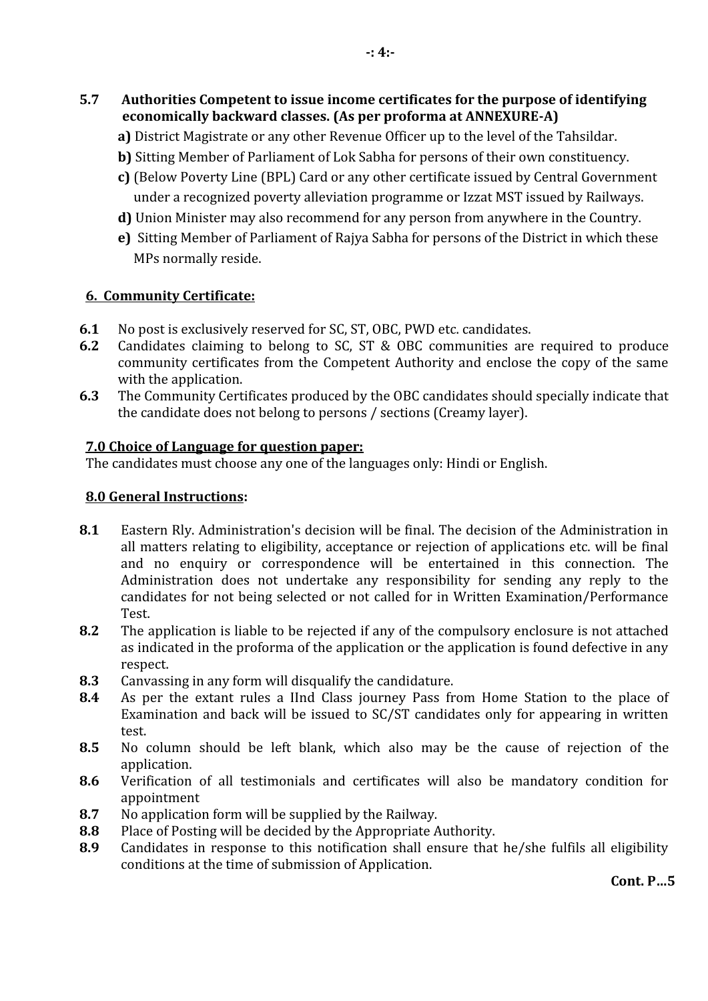- **5.7 Authorities Competent to issue income certificates for the purpose of identifying economically backward classes. (As per proforma at ANNEXURE-A)**
	- **a)** District Magistrate or any other Revenue Officer up to the level of the Tahsildar.
	- **b)** Sitting Member of Parliament of Lok Sabha for persons of their own constituency.
	- **c)** (Below Poverty Line (BPL) Card or any other certificate issued by Central Government under a recognized poverty alleviation programme or Izzat MST issued by Railways.
	- **d)** Union Minister may also recommend for any person from anywhere in the Country.
	- **e)** Sitting Member of Parliament of Rajya Sabha for persons of the District in which these MPs normally reside.

#### **6. Community Certificate:**

- **6.1** No post is exclusively reserved for SC, ST, OBC, PWD etc. candidates.<br>**6.2** Candidates claiming to belong to SC. ST & OBC communities are
- **6.2** Candidates claiming to belong to SC, ST & OBC communities are required to produce community certificates from the Competent Authority and enclose the copy of the same with the application.
- **6.3** The Community Certificates produced by the OBC candidates should specially indicate that the candidate does not belong to persons / sections (Creamy layer).

#### **7.0 Choice of Language for question paper:**

The candidates must choose any one of the languages only: Hindi or English.

## **8.0 General Instructions:**

- **8.1** Eastern Rly. Administration's decision will be final. The decision of the Administration in all matters relating to eligibility, acceptance or rejection of applications etc. will be final and no enquiry or correspondence will be entertained in this connection. The Administration does not undertake any responsibility for sending any reply to the candidates for not being selected or not called for in Written Examination/Performance Test.
- **8.2** The application is liable to be rejected if any of the compulsory enclosure is not attached as indicated in the proforma of the application or the application is found defective in any respect.
- 8.3 Canvassing in any form will disqualify the candidature.<br>**8.4** As per the extant rules a IInd Class journey Pass free
- **8.4** As per the extant rules a IInd Class journey Pass from Home Station to the place of Examination and back will be issued to SC/ST candidates only for appearing in written test.
- **8.5** No column should be left blank, which also may be the cause of rejection of the application.
- **8.6** Verification of all testimonials and certificates will also be mandatory condition for appointment
- 8.7 No application form will be supplied by the Railway.<br>**8.8** Place of Posting will be decided by the Appropriate A
- 8.8 Place of Posting will be decided by the Appropriate Authority.<br>**8.9** Candidates in response to this notification shall ensure that
- **8.9** Candidates in response to this notification shall ensure that he/she fulfils all eligibility conditions at the time of submission of Application.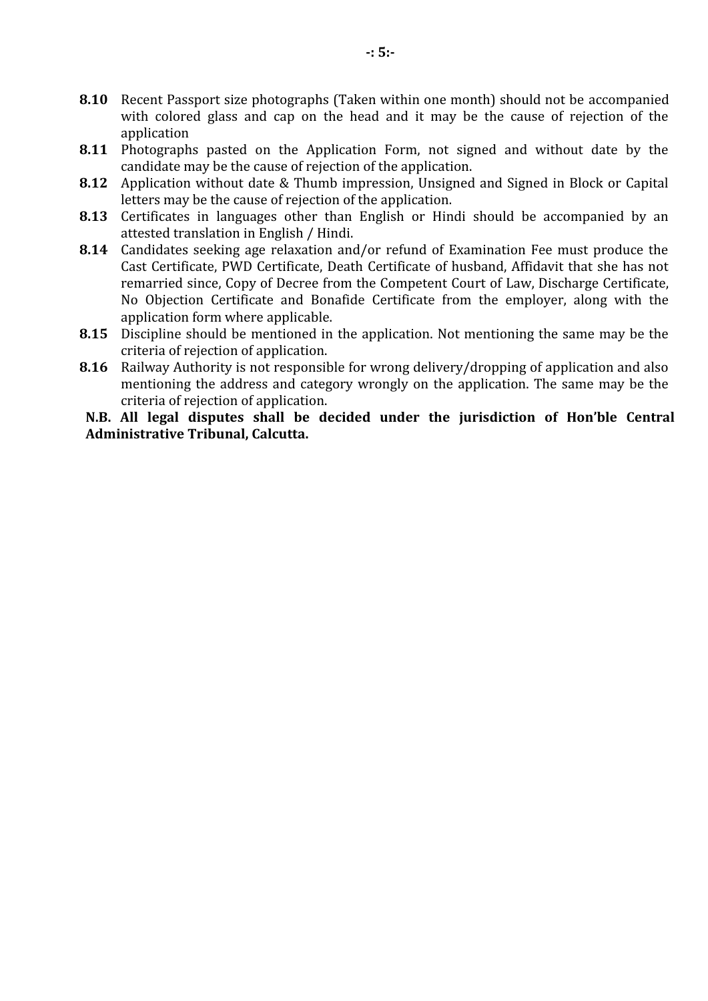- **8.10** Recent Passport size photographs (Taken within one month) should not be accompanied with colored glass and cap on the head and it may be the cause of rejection of the application
- **8.11** Photographs pasted on the Application Form, not signed and without date by the candidate may be the cause of rejection of the application.
- **8.12** Application without date & Thumb impression, Unsigned and Signed in Block or Capital letters may be the cause of rejection of the application.
- **8.13** Certificates in languages other than English or Hindi should be accompanied by an attested translation in English / Hindi.
- **8.14** Candidates seeking age relaxation and/or refund of Examination Fee must produce the Cast Certificate, PWD Certificate, Death Certificate of husband, Affidavit that she has not remarried since, Copy of Decree from the Competent Court of Law, Discharge Certificate, No Objection Certificate and Bonafide Certificate from the employer, along with the application form where applicable.
- **8.15** Discipline should be mentioned in the application. Not mentioning the same may be the criteria of rejection of application.
- **8.16** Railway Authority is not responsible for wrong delivery/dropping of application and also mentioning the address and category wrongly on the application. The same may be the criteria of rejection of application.

**N.B. All legal disputes shall be decided under the jurisdiction of Hon'ble Central Administrative Tribunal, Calcutta.**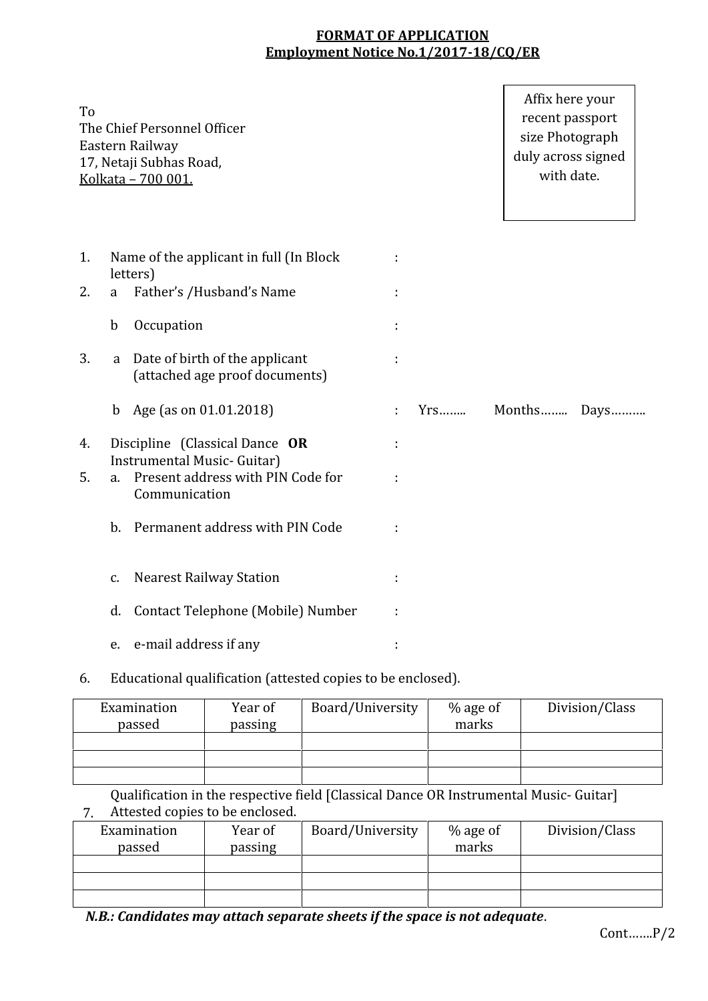## **FORMAT OF APPLICATION Employment Notice No.1/2017-18/CQ/ER**

| To |             | The Chief Personnel Officer<br>Eastern Railway<br>17, Netaji Subhas Road,<br>Kolkata - 700 001. |   |       | Affix here your<br>recent passport<br>size Photograph<br>duly across signed<br>with date. |  |
|----|-------------|-------------------------------------------------------------------------------------------------|---|-------|-------------------------------------------------------------------------------------------|--|
| 1. |             | Name of the applicant in full (In Block<br>letters)                                             |   |       |                                                                                           |  |
| 2. | a           | Father's /Husband's Name                                                                        |   |       |                                                                                           |  |
|    | $\mathbf b$ | Occupation                                                                                      |   |       |                                                                                           |  |
| 3. | a           | Date of birth of the applicant<br>(attached age proof documents)                                |   |       |                                                                                           |  |
|    | $\mathbf b$ | Age (as on 01.01.2018)                                                                          | ÷ | $Yrs$ | Months Days                                                                               |  |
| 4. |             | Discipline (Classical Dance OR                                                                  |   |       |                                                                                           |  |
| 5. | a.          | Instrumental Music- Guitar)<br>Present address with PIN Code for<br>Communication               |   |       |                                                                                           |  |
|    | $b$ .       | Permanent address with PIN Code                                                                 |   |       |                                                                                           |  |
|    | c.          | <b>Nearest Railway Station</b>                                                                  | ÷ |       |                                                                                           |  |
|    | d.          | Contact Telephone (Mobile) Number                                                               |   |       |                                                                                           |  |
|    | e.          | e-mail address if any                                                                           |   |       |                                                                                           |  |

6. Educational qualification (attested copies to be enclosed).

| Examination<br>passed | Year of<br>passing | Board/University | % age of<br>marks | Division/Class |
|-----------------------|--------------------|------------------|-------------------|----------------|
|                       |                    |                  |                   |                |
|                       |                    |                  |                   |                |
|                       |                    |                  |                   |                |

7. Attested copies to be enclosed. Qualification in the respective field [Classical Dance OR Instrumental Music- Guitar]

| Examination<br>passed | Year of<br>passing | Board/University | % age of<br>marks | Division/Class |
|-----------------------|--------------------|------------------|-------------------|----------------|
|                       |                    |                  |                   |                |
|                       |                    |                  |                   |                |
|                       |                    |                  |                   |                |

*N.B.: Candidates may attach separate sheets if the space is not adequate*.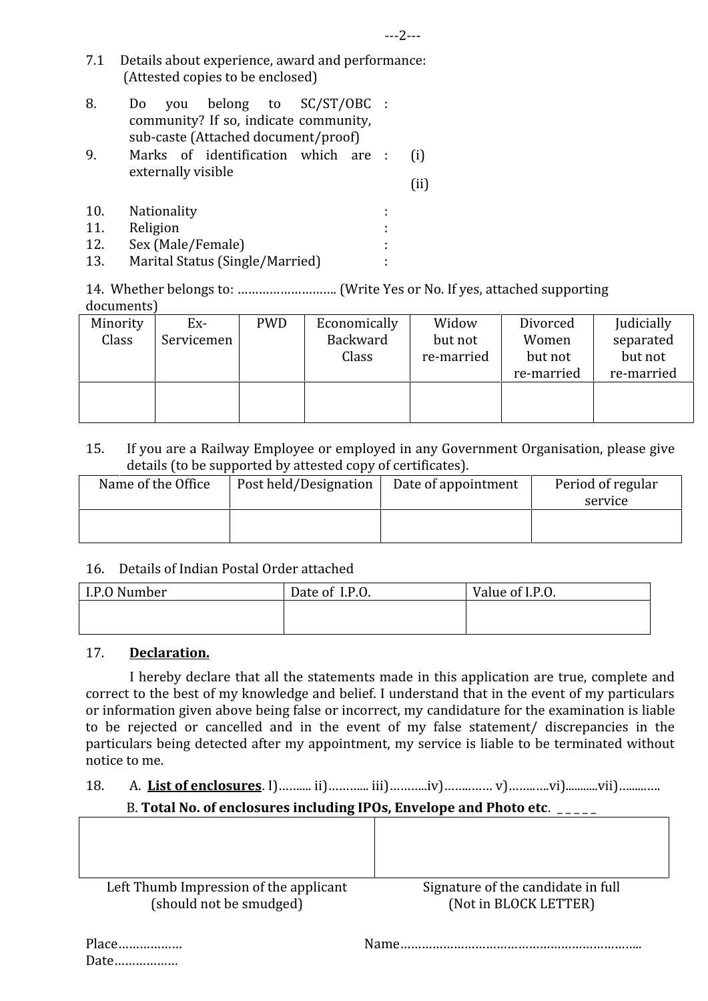7.1 Details about experience, award and performance: (Attested copies to be enclosed)

| 8. |  | Do you belong to SC/ST/OBC :            |  |  |  |
|----|--|-----------------------------------------|--|--|--|
|    |  | community? If so, indicate community,   |  |  |  |
|    |  | sub-caste (Attached document/proof)     |  |  |  |
| 9. |  | Marks of identification which are : (i) |  |  |  |

- externally visible (ii)
- 10. Nationality :
- 11. Religion :
- 
- 12. Sex (Male/Female) : Marital Status (Single/Married)

14. Whether belongs to: ………………………. (Write Yes or No. If yes, attached supporting documents)

| Minority | Ex-        | <b>PWD</b> | Economically | Widow      | Divorced   | Judicially |  |
|----------|------------|------------|--------------|------------|------------|------------|--|
| Class    | Servicemen |            | Backward     | but not    | Women      | separated  |  |
|          |            |            | Class        | re-married | but not    | but not    |  |
|          |            |            |              |            | re-married | re-married |  |
|          |            |            |              |            |            |            |  |
|          |            |            |              |            |            |            |  |
|          |            |            |              |            |            |            |  |

## 15. If you are a Railway Employee or employed in any Government Organisation, please give details (to be supported by attested copy of certificates).

| Name of the Office | Post held/Designation | Date of appointment | Period of regular |
|--------------------|-----------------------|---------------------|-------------------|
|                    |                       |                     | service           |
|                    |                       |                     |                   |
|                    |                       |                     |                   |

## 16. Details of Indian Postal Order attached

| I.P.O Number | Date of I.P.O. | Value of I.P.O. |
|--------------|----------------|-----------------|
|              |                |                 |
|              |                |                 |

### 17. **Declaration.**

 I hereby declare that all the statements made in this application are true, complete and correct to the best of my knowledge and belief. I understand that in the event of my particulars or information given above being false or incorrect, my candidature for the examination is liable to be rejected or cancelled and in the event of my false statement/ discrepancies in the particulars being detected after my appointment, my service is liable to be terminated without notice to me.

## 18. A. **List of enclosures**. I)…….... ii)………... iii)………..iv)……..…… v)……..….vi)...........vii)…......….

## B. Total No. of enclosures including IPOs, Envelope and Photo etc. \_\_\_\_\_

| Left Thumb Impression of the applicant | Signature of the candidate in full |
|----------------------------------------|------------------------------------|
| (should not be smudged)                | (Not in BLOCK LETTER)              |

Date………………

Place……………… Name…………………………………………………………..